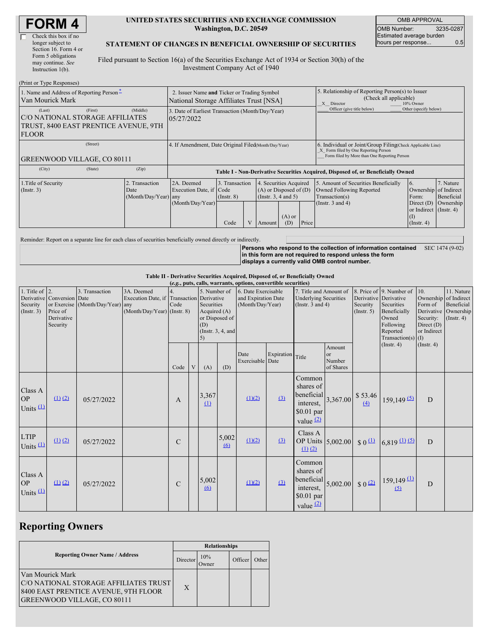| <b>FORM 4</b> |
|---------------|
|---------------|

#### **UNITED STATES SECURITIES AND EXCHANGE COMMISSION Washington, D.C. 20549**

OMB APPROVAL OMB Number: 3235-0287 Estimated average burden hours per response... 0.5

#### **STATEMENT OF CHANGES IN BENEFICIAL OWNERSHIP OF SECURITIES**

Filed pursuant to Section 16(a) of the Securities Exchange Act of 1934 or Section 30(h) of the Investment Company Act of 1940

| (Print or Type Responses)                                                                          |                                                                                        |                                                |                                                                                  |                                                                                                                                              |  |                                                                                    |                                                                                                       |                         |                                                                                                                                                    |                                                                |           |  |
|----------------------------------------------------------------------------------------------------|----------------------------------------------------------------------------------------|------------------------------------------------|----------------------------------------------------------------------------------|----------------------------------------------------------------------------------------------------------------------------------------------|--|------------------------------------------------------------------------------------|-------------------------------------------------------------------------------------------------------|-------------------------|----------------------------------------------------------------------------------------------------------------------------------------------------|----------------------------------------------------------------|-----------|--|
| 1. Name and Address of Reporting Person-<br>Van Mourick Mark                                       | 2. Issuer Name and Ticker or Trading Symbol<br>National Storage Affiliates Trust [NSA] |                                                |                                                                                  |                                                                                                                                              |  |                                                                                    | 5. Relationship of Reporting Person(s) to Issuer<br>(Check all applicable)<br>10% Owner<br>X Director |                         |                                                                                                                                                    |                                                                |           |  |
| (Last)<br>C/O NATIONAL STORAGE AFFILIATES<br>TRUST, 8400 EAST PRENTICE AVENUE, 9TH<br><b>FLOOR</b> | 3. Date of Earliest Transaction (Month/Day/Year)<br>05/27/2022                         |                                                |                                                                                  |                                                                                                                                              |  |                                                                                    | Officer (give title below)                                                                            | Other (specify below)   |                                                                                                                                                    |                                                                |           |  |
| (Street)<br><b>GREENWOOD VILLAGE, CO 80111</b>                                                     |                                                                                        |                                                | 4. If Amendment, Date Original Filed Month/Day/Year)                             |                                                                                                                                              |  |                                                                                    |                                                                                                       |                         | 6. Individual or Joint/Group Filing(Check Applicable Line)<br>X Form filed by One Reporting Person<br>Form filed by More than One Reporting Person |                                                                |           |  |
| (City)                                                                                             | (State)                                                                                | (Zip)                                          | Table I - Non-Derivative Securities Acquired, Disposed of, or Beneficially Owned |                                                                                                                                              |  |                                                                                    |                                                                                                       |                         |                                                                                                                                                    |                                                                |           |  |
| 1. Title of Security<br>$($ Instr. 3 $)$                                                           |                                                                                        | 2. Transaction<br>Date<br>(Month/Day/Year) any | 2A. Deemed                                                                       | 3. Transaction<br>4. Securities Acquired<br>$(A)$ or Disposed of $(D)$<br>Execution Date, if Code<br>(Insert. 3, 4 and 5)<br>$($ Instr. $8)$ |  | 5. Amount of Securities Beneficially<br>Owned Following Reported<br>Transaction(s) | $\overline{6}$ .<br>Ownership of Indirect<br>Form:                                                    | 7. Nature<br>Beneficial |                                                                                                                                                    |                                                                |           |  |
|                                                                                                    |                                                                                        |                                                | (Month/Day/Year)                                                                 | Code                                                                                                                                         |  | Amount                                                                             | $(A)$ or<br>(D)                                                                                       | Price                   | (Instr. $3$ and $4$ )                                                                                                                              | Direct $(D)$<br>or Indirect (Instr. 4)<br>(I)<br>$($ Instr. 4) | Ownership |  |

Reminder: Report on a separate line for each class of securities beneficially owned directly or indirectly.

**Persons who respond to the collection of information contained** SEC 1474 (9-02) **in this form are not required to respond unless the form displays a currently valid OMB control number.**

**Table II - Derivative Securities Acquired, Disposed of, or Beneficially Owned**

|                                               | (e.g., puts, calls, warrants, options, convertible securities)   |                                                    |                                                                                          |               |   |                                                                                                   |                   |                                                                |            |                                                                                        |                                     |                         |                                                                                                                                           |                                                                          |                                                                                    |
|-----------------------------------------------|------------------------------------------------------------------|----------------------------------------------------|------------------------------------------------------------------------------------------|---------------|---|---------------------------------------------------------------------------------------------------|-------------------|----------------------------------------------------------------|------------|----------------------------------------------------------------------------------------|-------------------------------------|-------------------------|-------------------------------------------------------------------------------------------------------------------------------------------|--------------------------------------------------------------------------|------------------------------------------------------------------------------------|
| 1. Title of $ 2$ .<br>Security<br>(Insert. 3) | Derivative Conversion Date<br>Price of<br>Derivative<br>Security | 3. Transaction<br>or Exercise (Month/Day/Year) any | 3A. Deemed<br>Execution Date, if Transaction Derivative<br>$(Month/Day/Year)$ (Instr. 8) | Code          |   | 5. Number of<br>Securities<br>Acquired (A)<br>or Disposed of<br>(D)<br>(Instr. $3, 4$ , and<br>5) |                   | 6. Date Exercisable<br>and Expiration Date<br>(Month/Day/Year) |            | 7. Title and Amount of<br><b>Underlying Securities</b><br>(Instr. $3$ and $4$ )        |                                     | Security<br>(Insert. 5) | 8. Price of 9. Number of<br>Derivative Derivative<br>Securities<br>Beneficially<br>Owned<br>Following<br>Reported<br>Transaction(s) $(I)$ | 10.<br>Form of<br>Derivative<br>Security:<br>Direct $(D)$<br>or Indirect | 11. Nature<br>Ownership of Indirect<br>Beneficial<br>Ownership<br>$($ Instr. 4 $)$ |
|                                               |                                                                  |                                                    |                                                                                          | Code          | V | (A)                                                                                               | (D)               | Date<br>Exercisable Date                                       | Expiration | Title                                                                                  | Amount<br>or<br>Number<br>of Shares |                         | $($ Instr. 4 $)$<br>$($ Instr. 4 $)$                                                                                                      |                                                                          |                                                                                    |
| Class A<br><b>OP</b><br>Units $(1)$           | (1) (2)                                                          | 05/27/2022                                         |                                                                                          | $\mathbf{A}$  |   | 3,367<br>$\Omega$                                                                                 |                   | (1)(2)                                                         | (3)        | Common<br>shares of<br>beneficial<br>interest,<br>$$0.01$ par<br>value $(2)$           | 3,367.00                            | \$53.46<br>(4)          | $159, 149$ <sup>(5)</sup>                                                                                                                 | D                                                                        |                                                                                    |
| <b>LTIP</b><br>Units $(1)$                    | $(1)$ $(2)$                                                      | 05/27/2022                                         |                                                                                          | $\mathbf C$   |   |                                                                                                   | 5,002<br>$\omega$ | (1)(2)                                                         | $\Omega$   | Class A<br>OP Units 5,002.00<br>$(1)$ $(2)$                                            |                                     | $\sqrt{0}$              | $6,819$ (1) (5)                                                                                                                           | D                                                                        |                                                                                    |
| Class A<br><b>OP</b><br>Units $(1)$           | $(1)$ $(2)$                                                      | 05/27/2022                                         |                                                                                          | $\mathcal{C}$ |   | 5,002<br>6                                                                                        |                   | (1)(2)                                                         | (3)        | Common<br>shares of<br>beneficial $\Big  5,002.00 \Big $<br>$$0.01$ par<br>value $(2)$ |                                     | $$0$ (2)                | $159,149$ $(1)$<br>(5)                                                                                                                    | D                                                                        |                                                                                    |

# **Reporting Owners**

|                                                                                                                                         | <b>Relationships</b> |              |         |       |  |  |  |
|-----------------------------------------------------------------------------------------------------------------------------------------|----------------------|--------------|---------|-------|--|--|--|
| <b>Reporting Owner Name / Address</b>                                                                                                   | Director             | 10%<br>Owner | Officer | Other |  |  |  |
| Van Mourick Mark<br>C/O NATIONAL STORAGE AFFILIATES TRUST<br>8400 EAST PRENTICE AVENUE, 9TH FLOOR<br><b>GREENWOOD VILLAGE, CO 80111</b> | X                    |              |         |       |  |  |  |